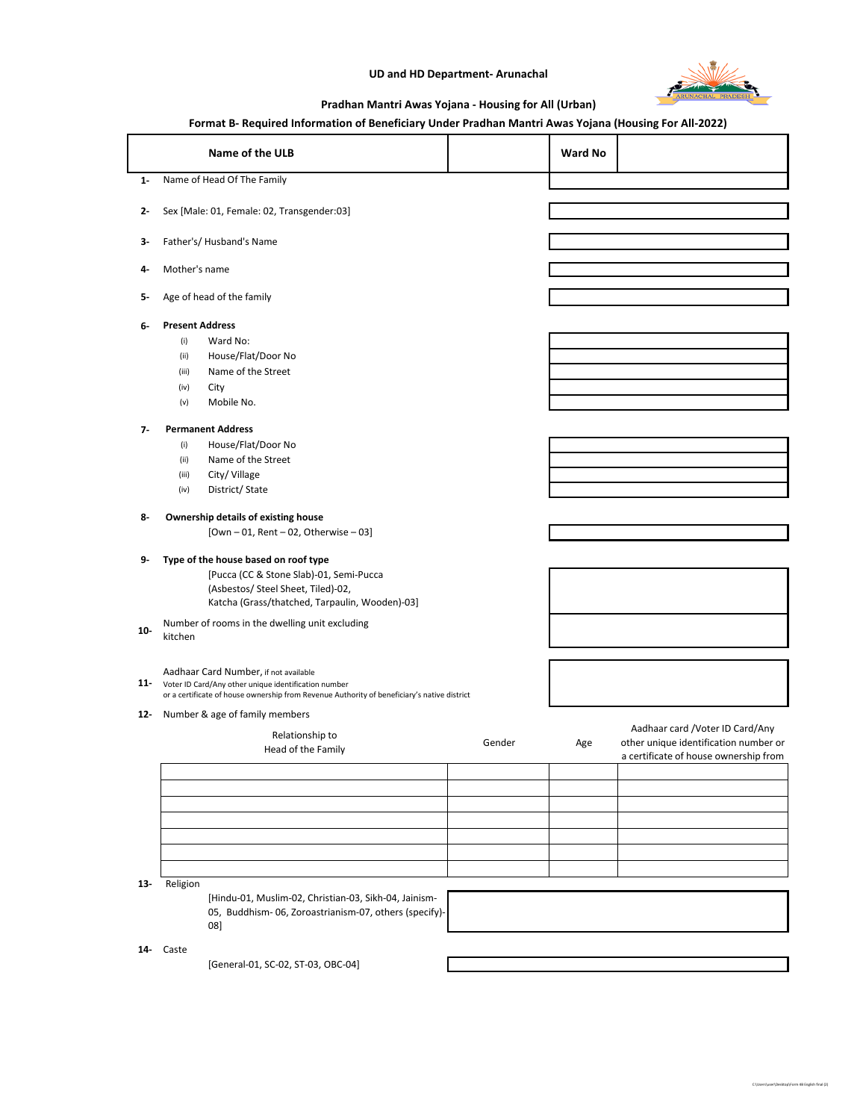## **UD and HD Department- Arunachal**



C:\Users\user\Desktop\Form 4B English final (2)

## **Pradhan Mantri Awas Yojana - Housing for All (Urban)**

## **Format B- Required Information of Beneficiary Under Pradhan Mantri Awas Yojana (Housing For All-2022)**

|        | Name of the ULB                                                                                                                                                                                  |        | Ward No |                                                                                                                    |
|--------|--------------------------------------------------------------------------------------------------------------------------------------------------------------------------------------------------|--------|---------|--------------------------------------------------------------------------------------------------------------------|
| $1 -$  | Name of Head Of The Family                                                                                                                                                                       |        |         |                                                                                                                    |
| 2-     | Sex [Male: 01, Female: 02, Transgender:03]                                                                                                                                                       |        |         |                                                                                                                    |
| 3-     | Father's/Husband's Name                                                                                                                                                                          |        |         |                                                                                                                    |
| 4-     | Mother's name                                                                                                                                                                                    |        |         |                                                                                                                    |
| 5-     | Age of head of the family                                                                                                                                                                        |        |         |                                                                                                                    |
| 6-     | <b>Present Address</b>                                                                                                                                                                           |        |         |                                                                                                                    |
|        | Ward No:<br>(i)                                                                                                                                                                                  |        |         |                                                                                                                    |
|        | House/Flat/Door No<br>(ii)                                                                                                                                                                       |        |         |                                                                                                                    |
|        | Name of the Street<br>(iii)                                                                                                                                                                      |        |         |                                                                                                                    |
|        | City<br>(iv)                                                                                                                                                                                     |        |         |                                                                                                                    |
|        | Mobile No.<br>(v)                                                                                                                                                                                |        |         |                                                                                                                    |
| $7-$   | <b>Permanent Address</b>                                                                                                                                                                         |        |         |                                                                                                                    |
|        | House/Flat/Door No<br>(i)                                                                                                                                                                        |        |         |                                                                                                                    |
|        | Name of the Street<br>(ii)                                                                                                                                                                       |        |         |                                                                                                                    |
|        | City/Village<br>(iii)                                                                                                                                                                            |        |         |                                                                                                                    |
|        | District/State<br>(iv)                                                                                                                                                                           |        |         |                                                                                                                    |
| 8-     | <b>Ownership details of existing house</b><br>$[Own - 01, Rent - 02, Otherwise - 03]$                                                                                                            |        |         |                                                                                                                    |
| 9-     | Type of the house based on roof type<br>[Pucca (CC & Stone Slab)-01, Semi-Pucca<br>(Asbestos/ Steel Sheet, Tiled)-02,<br>Katcha (Grass/thatched, Tarpaulin, Wooden)-03]                          |        |         |                                                                                                                    |
| $10-$  | Number of rooms in the dwelling unit excluding<br>kitchen                                                                                                                                        |        |         |                                                                                                                    |
|        | Aadhaar Card Number, if not available<br>11- Voter ID Card/Any other unique identification number<br>or a certificate of house ownership from Revenue Authority of beneficiary's native district |        |         |                                                                                                                    |
| $12 -$ | Number & age of family members                                                                                                                                                                   |        |         |                                                                                                                    |
|        | Relationship to<br>Head of the Family                                                                                                                                                            | Gender | Age     | Aadhaar card / Voter ID Card/Any<br>other unique identification number or<br>a certificate of house ownership from |
|        |                                                                                                                                                                                                  |        |         |                                                                                                                    |
|        |                                                                                                                                                                                                  |        |         |                                                                                                                    |
|        |                                                                                                                                                                                                  |        |         |                                                                                                                    |
|        |                                                                                                                                                                                                  |        |         |                                                                                                                    |
|        |                                                                                                                                                                                                  |        |         |                                                                                                                    |
|        |                                                                                                                                                                                                  |        |         |                                                                                                                    |
|        |                                                                                                                                                                                                  |        |         |                                                                                                                    |
| $13 -$ | Religion                                                                                                                                                                                         |        |         |                                                                                                                    |
|        | [Hindu-01, Muslim-02, Christian-03, Sikh-04, Jainism-<br>05, Buddhism- 06, Zoroastrianism-07, others (specify)-<br>08]                                                                           |        |         |                                                                                                                    |
|        | 14- Caste                                                                                                                                                                                        |        |         |                                                                                                                    |

[General-01, SC-02, ST-03, OBC-04]